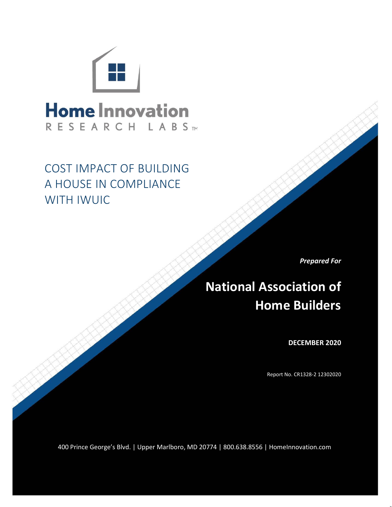

**Home Innovation** RESEARCH LABS<sub>M</sub>

COST IMPACT OF BUILDING A HOUSE IN COMPLIANCE WITH IWUIC

*Prepared For*

# **National Association of Home Builders**

**DECEMBER 2020**

Report No. CR1328-2 12302020

400 Prince George's Blvd. | Upper Marlboro, MD 20774 | 800.638.8556 | HomeInnovation.com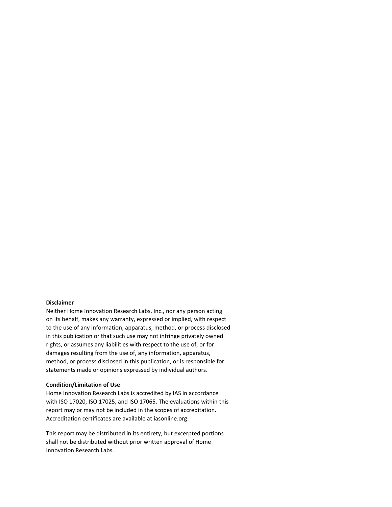#### **Disclaimer**

Neither Home Innovation Research Labs, Inc., nor any person acting on its behalf, makes any warranty, expressed or implied, with respect to the use of any information, apparatus, method, or process disclosed in this publication or that such use may not infringe privately owned rights, or assumes any liabilities with respect to the use of, or for damages resulting from the use of, any information, apparatus, method, or process disclosed in this publication, or is responsible for statements made or opinions expressed by individual authors.

#### **Condition/Limitation of Use**

Home Innovation Research Labs is accredited by IAS in accordance with ISO 17020, ISO 17025, and ISO 17065. The evaluations within this report may or may not be included in the scopes of accreditation. Accreditation certificates are available at iasonline.org.

This report may be distributed in its entirety, but excerpted portions shall not be distributed without prior written approval of Home Innovation Research Labs.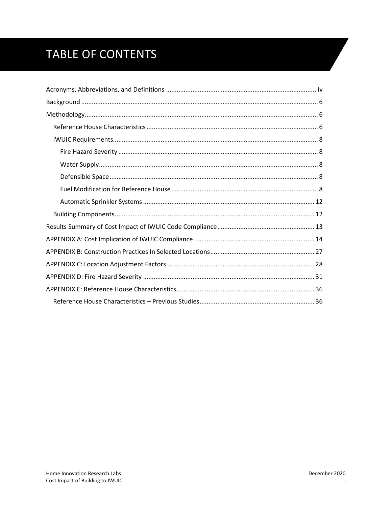# **TABLE OF CONTENTS**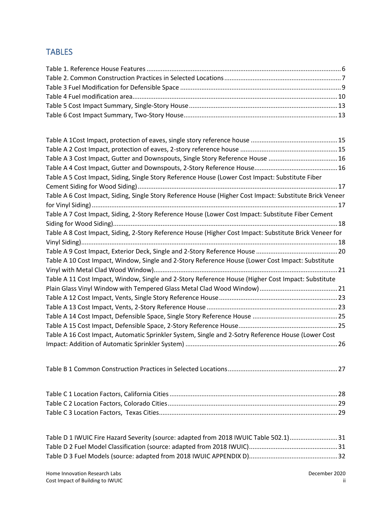# **TABLES**

| Table A 3 Cost Impact, Gutter and Downspouts, Single Story Reference House 16                            |
|----------------------------------------------------------------------------------------------------------|
|                                                                                                          |
| Table A 5 Cost Impact, Siding, Single Story Reference House (Lower Cost Impact: Substitute Fiber         |
|                                                                                                          |
| Table A 6 Cost Impact, Siding, Single Story Reference House (Higher Cost Impact: Substitute Brick Veneer |
|                                                                                                          |
| Table A 7 Cost Impact, Siding, 2-Story Reference House (Lower Cost Impact: Substitute Fiber Cement       |
|                                                                                                          |
| Table A 8 Cost Impact, Siding, 2-Story Reference House (Higher Cost Impact: Substitute Brick Veneer for  |
|                                                                                                          |
|                                                                                                          |
| Table A 10 Cost Impact, Window, Single and 2-Story Reference House (Lower Cost Impact: Substitute        |
|                                                                                                          |
| Table A 11 Cost Impact, Window, Single and 2-Story Reference House (Higher Cost Impact: Substitute       |
|                                                                                                          |
|                                                                                                          |
|                                                                                                          |
|                                                                                                          |
|                                                                                                          |
| Table A 16 Cost Impact, Automatic Sprinkler System, Single and 2-Sotry Reference House (Lower Cost       |
| . 26                                                                                                     |
|                                                                                                          |

|--|--|

| Table D 1 IWUIC Fire Hazard Severity (source: adapted from 2018 IWUIC Table 502.1) 31 |  |
|---------------------------------------------------------------------------------------|--|
|                                                                                       |  |
|                                                                                       |  |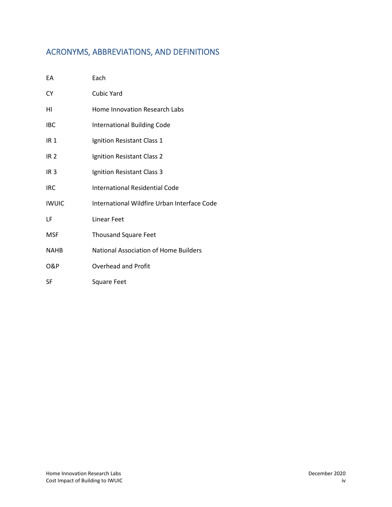# <span id="page-5-0"></span>ACRONYMS, ABBREVIATIONS, AND DEFINITIONS

| EA              | Each                                        |
|-----------------|---------------------------------------------|
| <b>CY</b>       | <b>Cubic Yard</b>                           |
| HI              | Home Innovation Research Labs               |
| <b>IBC</b>      | <b>International Building Code</b>          |
| IR <sub>1</sub> | Ignition Resistant Class 1                  |
| IR <sub>2</sub> | Ignition Resistant Class 2                  |
| IR <sub>3</sub> | Ignition Resistant Class 3                  |
| <b>IRC</b>      | International Residential Code              |
| <b>IWUIC</b>    | International Wildfire Urban Interface Code |
| LF              | Linear Feet                                 |
| <b>MSF</b>      | <b>Thousand Square Feet</b>                 |
| <b>NAHB</b>     | National Association of Home Builders       |
| O&P             | <b>Overhead and Profit</b>                  |
| <b>SF</b>       | <b>Square Feet</b>                          |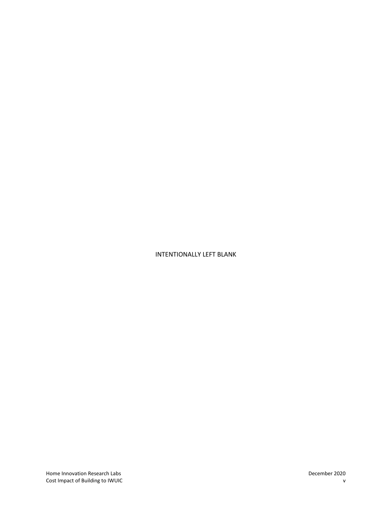#### INTENTIONALLY LEFT BLANK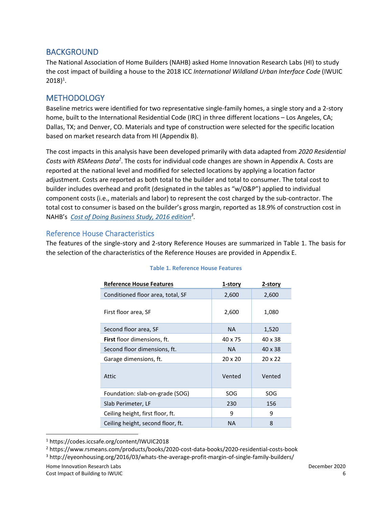### <span id="page-7-0"></span>BACKGROUND

The National Association of Home Builders (NAHB) asked Home Innovation Research Labs (HI) to study the cost impact of building a house to the 2018 ICC *International Wildland Urban Interface Code* (IWUIC  $2018)^{1}$ .

### <span id="page-7-1"></span>**METHODOLOGY**

Baseline metrics were identified for two representative single-family homes, a single story and a 2-story home, built to the International Residential Code (IRC) in three different locations – Los Angeles, CA; Dallas, TX; and Denver, CO. Materials and type of construction were selected for the specific location based on market research data from HI (Appendix B).

The cost impacts in this analysis have been developed primarily with data adapted from *2020 Residential*  Costs with RSMeans Data<sup>2</sup>. The costs for individual code changes are shown in Appendix A. Costs are reported at the national level and modified for selected locations by applying a location factor adjustment. Costs are reported as both total to the builder and total to consumer. The total cost to builder includes overhead and profit (designated in the tables as "w/O&P") applied to individual component costs (i.e., materials and labor) to represent the cost charged by the sub-contractor. The total cost to consumer is based on the builder's gross margin, reported as 18.9% of construction cost in NAHB's *[Cost of Doing Business](https://www.builderbooks.com/cost-of-doing-business-study--2016-edition-products-9780867187472.php) Study, 2016 edition<sup>3</sup>* .

#### <span id="page-7-2"></span>Reference House Characteristics

<span id="page-7-3"></span>The features of the single-story and 2-story Reference Houses are summarized in Table 1. The basis for the selection of the characteristics of the Reference Houses are provided in Appendix E.

| <b>Reference House Features</b>    | <u>1-story</u> | 2-story        |
|------------------------------------|----------------|----------------|
| Conditioned floor area, total, SF  | 2,600          | 2,600          |
| First floor area, SF               | 2,600          | 1,080          |
| Second floor area, SF              | <b>NA</b>      | 1,520          |
| <b>First</b> floor dimensions, ft. | 40 x 75        | 40 x 38        |
| Second floor dimensions, ft.       | <b>NA</b>      | $40 \times 38$ |
| Garage dimensions, ft.             | $20 \times 20$ | $20 \times 22$ |
| Attic                              | Vented         | Vented         |
| Foundation: slab-on-grade (SOG)    | SOG            | SOG            |
| Slab Perimeter, LF                 | 230            | 156            |
| Ceiling height, first floor, ft.   | 9              | 9              |
| Ceiling height, second floor, ft.  | <b>NA</b>      | 8              |

#### **Table 1. Reference House Features**

<sup>1</sup> https://codes.iccsafe.org/content/IWUIC2018

<sup>2</sup> https://www.rsmeans.com/products/books/2020-cost-data-books/2020-residential-costs-book

<sup>3</sup> http://eyeonhousing.org/2016/03/whats-the-average-profit-margin-of-single-family-builders/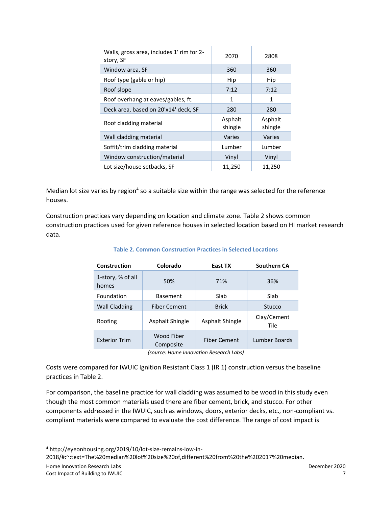| Walls, gross area, includes 1' rim for 2-<br>story, SF | 2070               | 2808               |
|--------------------------------------------------------|--------------------|--------------------|
| Window area, SF                                        | 360                | 360                |
| Roof type (gable or hip)                               | Hip                | Hip                |
| Roof slope                                             | 7:12               | 7:12               |
| Roof overhang at eaves/gables, ft.                     | 1                  | 1                  |
| Deck area, based on 20'x14' deck, SF                   | 280                | 280                |
| Roof cladding material                                 | Asphalt<br>shingle | Asphalt<br>shingle |
| Wall cladding material                                 | Varies             | Varies             |
| Soffit/trim cladding material                          | Lumber             | Lumber             |
| Window construction/material                           | Vinyl              | Vinyl              |
| Lot size/house setbacks, SF                            | 11,250             | 11,250             |

Median lot size varies by region<sup>4</sup> so a suitable size within the range was selected for the reference houses.

<span id="page-8-0"></span>Construction practices vary depending on location and climate zone. Table 2 shows common construction practices used for given reference houses in selected location based on HI market research data.

| Construction               | Colorado                | East TX             | <b>Southern CA</b>  |
|----------------------------|-------------------------|---------------------|---------------------|
| 1-story, % of all<br>homes | 50%                     | 71%                 | 36%                 |
| Foundation                 | <b>Basement</b>         | Slab                | Slab                |
| <b>Wall Cladding</b>       | <b>Fiber Cement</b>     | <b>Brick</b>        | Stucco              |
| Roofing                    | Asphalt Shingle         | Asphalt Shingle     | Clay/Cement<br>Tile |
| <b>Exterior Trim</b>       | Wood Fiber<br>Composite | <b>Fiber Cement</b> | Lumber Boards       |

#### **Table 2. Common Construction Practices in Selected Locations**

*(source: Home Innovation Research Labs)*

Costs were compared for IWUIC Ignition Resistant Class 1 (IR 1) construction versus the baseline practices in Table 2.

For comparison, the baseline practice for wall cladding was assumed to be wood in this study even though the most common materials used there are fiber cement, brick, and stucco. For other components addressed in the IWUIC, such as windows, doors, exterior decks, etc., non-compliant vs. compliant materials were compared to evaluate the cost difference. The range of cost impact is

2018/#:~:text=The%20median%20lot%20size%20of,different%20from%20the%202017%20median.

<sup>4</sup> http://eyeonhousing.org/2019/10/lot-size-remains-low-in-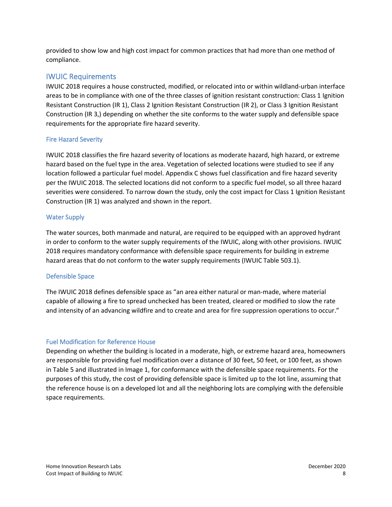provided to show low and high cost impact for common practices that had more than one method of compliance.

### <span id="page-9-0"></span>IWUIC Requirements

IWUIC 2018 requires a house constructed, modified, or relocated into or within wildland-urban interface areas to be in compliance with one of the three classes of ignition resistant construction: Class 1 Ignition Resistant Construction (IR 1), Class 2 Ignition Resistant Construction (IR 2), or Class 3 Ignition Resistant Construction (IR 3,) depending on whether the site conforms to the water supply and defensible space requirements for the appropriate fire hazard severity.

#### <span id="page-9-1"></span>Fire Hazard Severity

IWUIC 2018 classifies the fire hazard severity of locations as moderate hazard, high hazard, or extreme hazard based on the fuel type in the area. Vegetation of selected locations were studied to see if any location followed a particular fuel model. Appendix C shows fuel classification and fire hazard severity per the IWUIC 2018. The selected locations did not conform to a specific fuel model, so all three hazard severities were considered. To narrow down the study, only the cost impact for Class 1 Ignition Resistant Construction (IR 1) was analyzed and shown in the report.

#### <span id="page-9-2"></span>Water Supply

The water sources, both manmade and natural, are required to be equipped with an approved hydrant in order to conform to the water supply requirements of the IWUIC, along with other provisions. IWUIC 2018 requires mandatory conformance with defensible space requirements for building in extreme hazard areas that do not conform to the water supply requirements (IWUIC Table 503.1).

#### <span id="page-9-3"></span>Defensible Space

The IWUIC 2018 defines defensible space as "an area either natural or man-made, where material capable of allowing a fire to spread unchecked has been treated, cleared or modified to slow the rate and intensity of an advancing wildfire and to create and area for fire suppression operations to occur."

#### <span id="page-9-4"></span>Fuel Modification for Reference House

Depending on whether the building is located in a moderate, high, or extreme hazard area, homeowners are responsible for providing fuel modification over a distance of 30 feet, 50 feet, or 100 feet, as shown in Table 5 and illustrated in Image 1, for conformance with the defensible space requirements. For the purposes of this study, the cost of providing defensible space is limited up to the lot line, assuming that the reference house is on a developed lot and all the neighboring lots are complying with the defensible space requirements.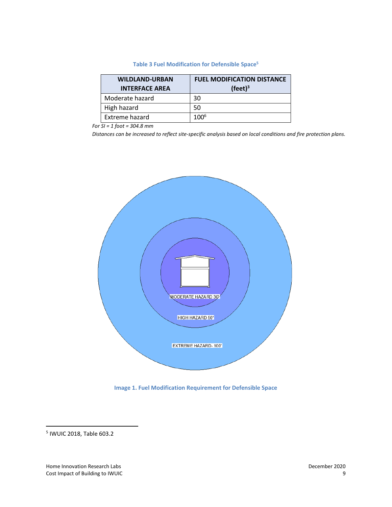#### **Table 3 Fuel Modification for Defensible Space<sup>5</sup>**

<span id="page-10-0"></span>

| <b>WILDLAND-URBAN</b><br><b>INTERFACE AREA</b> | <b>FUEL MODIFICATION DISTANCE</b><br>(feet) <sup>3</sup> |
|------------------------------------------------|----------------------------------------------------------|
| Moderate hazard                                | 30                                                       |
| High hazard                                    | 50                                                       |
| Extreme hazard                                 | $100^{6}$                                                |

*For SI = 1 foot = 304.8 mm*

*Distances can be increased to reflect site-specific analysis based on local conditions and fire protection plans.*



**Image 1. Fuel Modification Requirement for Defensible Space**

5 IWUIC 2018, Table 603.2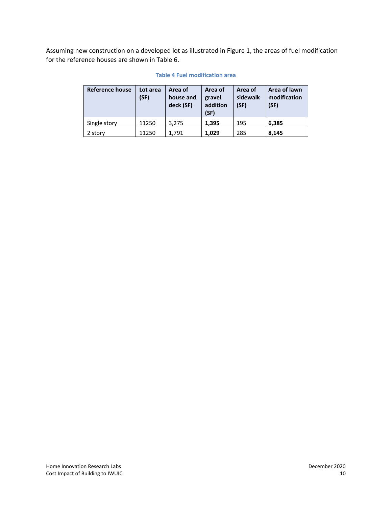<span id="page-11-0"></span>Assuming new construction on a developed lot as illustrated in Figure 1, the areas of fuel modification for the reference houses are shown in Table 6.

| Reference house | Lot area<br>(SF) | Area of<br>house and<br>deck (SF) | Area of<br>gravel<br>addition<br>(SF) | Area of<br>sidewalk<br>(SF) | Area of lawn<br>modification<br>(SF) |
|-----------------|------------------|-----------------------------------|---------------------------------------|-----------------------------|--------------------------------------|
| Single story    | 11250            | 3.275                             | 1.395                                 | 195                         | 6,385                                |
| 2 story         | 11250            | 1,791                             | 1,029                                 | 285                         | 8,145                                |

#### **Table 4 Fuel modification area**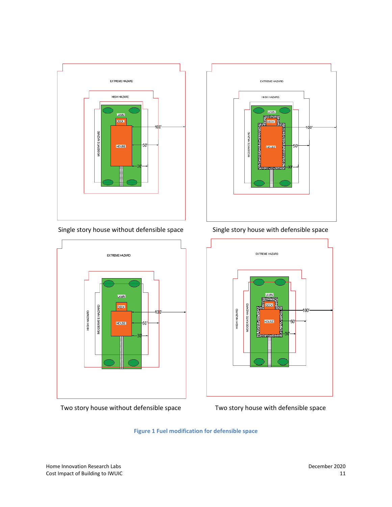

Single story house without defensible space Single story house with defensible space



Two story house without defensible space Two story house with defensible space





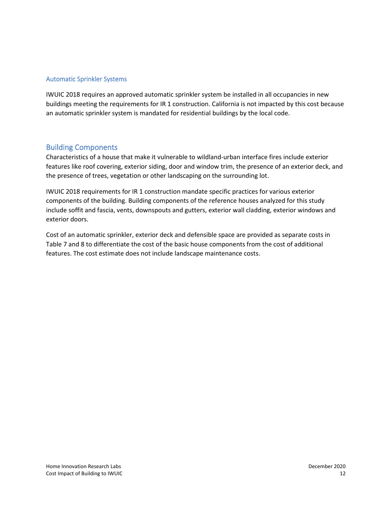#### <span id="page-13-0"></span>Automatic Sprinkler Systems

IWUIC 2018 requires an approved automatic sprinkler system be installed in all occupancies in new buildings meeting the requirements for IR 1 construction. California is not impacted by this cost because an automatic sprinkler system is mandated for residential buildings by the local code.

#### <span id="page-13-1"></span>Building Components

Characteristics of a house that make it vulnerable to wildland-urban interface fires include exterior features like roof covering, exterior siding, door and window trim, the presence of an exterior deck, and the presence of trees, vegetation or other landscaping on the surrounding lot.

IWUIC 2018 requirements for IR 1 construction mandate specific practices for various exterior components of the building. Building components of the reference houses analyzed for this study include soffit and fascia, vents, downspouts and gutters, exterior wall cladding, exterior windows and exterior doors.

Cost of an automatic sprinkler, exterior deck and defensible space are provided as separate costs in Table 7 and 8 to differentiate the cost of the basic house components from the cost of additional features. The cost estimate does not include landscape maintenance costs.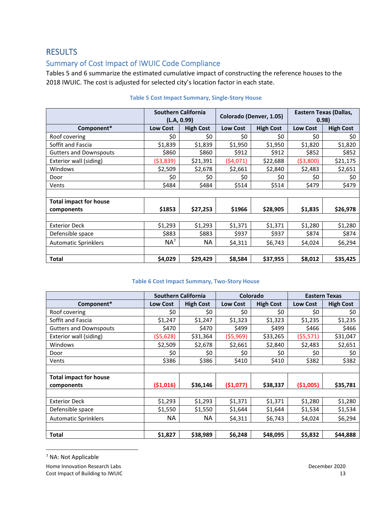### <span id="page-14-0"></span>**RESULTS**

### Summary of Cost Impact of IWUIC Code Compliance

Tables 5 and 6 summarize the estimated cumulative impact of constructing the reference houses to the 2018 IWUIC. The cost is adjusted for selected city's location factor in each state.

<span id="page-14-1"></span>

|                               |                 | <b>Southern California</b><br>(L.A, 0.99) |                 | Colorado (Denver, 1.05) | <b>Eastern Texas (Dallas,</b><br>(0.98) |                  |  |
|-------------------------------|-----------------|-------------------------------------------|-----------------|-------------------------|-----------------------------------------|------------------|--|
| Component*                    | <b>Low Cost</b> | <b>High Cost</b>                          | <b>Low Cost</b> | <b>High Cost</b>        | <b>Low Cost</b>                         | <b>High Cost</b> |  |
| Roof covering                 | \$0             | \$0                                       | \$0             | \$0                     | \$0                                     | \$0              |  |
| Soffit and Fascia             | \$1,839         | \$1,839                                   | \$1,950         | \$1,950                 | \$1,820                                 | \$1,820          |  |
| <b>Gutters and Downspouts</b> | \$860           | \$860                                     | \$912           | \$912                   | \$852                                   | \$852            |  |
| Exterior wall (siding)        | ( \$3,839)      | \$21,391                                  | (\$4,071)       | \$22,688                | ( \$3,800)                              | \$21,175         |  |
| Windows                       | \$2,509         | \$2,678                                   | \$2,661         | \$2,840                 | \$2,483                                 | \$2,651          |  |
| Door                          | \$0             | \$0                                       | \$0             | \$0                     | \$0                                     | \$0              |  |
| Vents                         | \$484           | \$484                                     | \$514           | \$514                   | \$479                                   | \$479            |  |
|                               |                 |                                           |                 |                         |                                         |                  |  |
| <b>Total impact for house</b> |                 |                                           |                 |                         |                                         |                  |  |
| components                    | \$1853          | \$27,253                                  | \$1966          | \$28,905                | \$1,835                                 | \$26,978         |  |
|                               |                 |                                           |                 |                         |                                         |                  |  |
| <b>Exterior Deck</b>          | \$1,293         | \$1,293                                   | \$1,371         | \$1,371                 | \$1,280                                 | \$1,280          |  |
| Defensible space              | \$883           | \$883                                     | \$937           | \$937                   | \$874                                   | \$874            |  |
| <b>Automatic Sprinklers</b>   | $NA^7$          | <b>NA</b>                                 | \$4,311         | \$6,743                 | \$4,024                                 | \$6,294          |  |
|                               |                 |                                           |                 |                         |                                         |                  |  |
| Total                         | \$4,029         | \$29,429                                  | \$8,584         | \$37,955                | \$8,012                                 | \$35,425         |  |

#### **Table 5 Cost Impact Summary, Single-Story House**

#### **Table 6 Cost Impact Summary, Two-Story House**

<span id="page-14-2"></span>

|                               |                 | Southern California |                 | Colorado         |                 | <b>Eastern Texas</b> |
|-------------------------------|-----------------|---------------------|-----------------|------------------|-----------------|----------------------|
| Component*                    | <b>Low Cost</b> | <b>High Cost</b>    | <b>Low Cost</b> | <b>High Cost</b> | <b>Low Cost</b> | <b>High Cost</b>     |
| Roof covering                 | \$0             | \$0                 | \$0             | \$0              | \$0             | \$0                  |
| Soffit and Fascia             | \$1,247         | \$1,247             | \$1,323         | \$1,323          | \$1,235         | \$1,235              |
| <b>Gutters and Downspouts</b> | \$470           | \$470               | \$499           | \$499            | \$466           | \$466                |
| Exterior wall (siding)        | ( \$5,628)      | \$31,364            | (55,969)        | \$33,265         | (55, 571)       | \$31,047             |
| Windows                       | \$2,509         | \$2,678             | \$2,661         | \$2,840          | \$2,483         | \$2,651              |
| Door                          | \$0             | \$0                 | \$0             | \$0              | \$0             | \$0                  |
| Vents                         | \$386           | \$386               | \$410           | \$410            | \$382           | \$382                |
|                               |                 |                     |                 |                  |                 |                      |
| <b>Total impact for house</b> |                 |                     |                 |                  |                 |                      |
| components                    | ( \$1,016)      | \$36,146            | (\$1,077)       | \$38,337         | ( \$1,005)      | \$35,781             |
|                               |                 |                     |                 |                  |                 |                      |
| <b>Exterior Deck</b>          | \$1,293         | \$1,293             | \$1,371         | \$1,371          | \$1,280         | \$1,280              |
| Defensible space              | \$1,550         | \$1,550             | \$1,644         | \$1,644          | \$1,534         | \$1,534              |
| <b>Automatic Sprinklers</b>   | ΝA              | <b>NA</b>           | \$4,311         | \$6,743          | \$4,024         | \$6,294              |
|                               |                 |                     |                 |                  |                 |                      |
| Total                         | \$1,827         | \$38,989            | \$6,248         | \$48,095         | \$5,832         | \$44,888             |

<sup>7</sup> NA: Not Applicable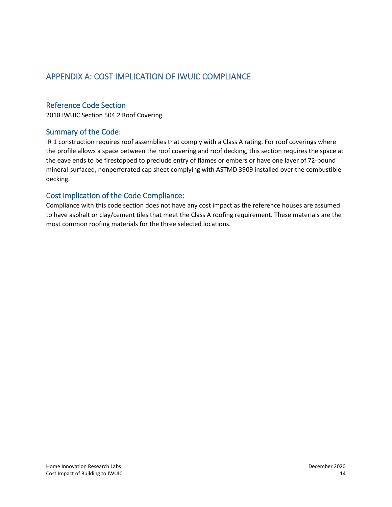# <span id="page-15-0"></span>APPENDIX A: COST IMPLICATION OF IWUIC COMPLIANCE

### Reference Code Section

2018 IWUIC Section 504.2 Roof Covering.

### Summary of the Code:

IR 1 construction requires roof assemblies that comply with a Class A rating. For roof coverings where the profile allows a space between the roof covering and roof decking, this section requires the space at the eave ends to be firestopped to preclude entry of flames or embers or have one layer of 72-pound mineral-surfaced, nonperforated cap sheet complying with ASTMD 3909 installed over the combustible decking.

### Cost Implication of the Code Compliance:

Compliance with this code section does not have any cost impact as the reference houses are assumed to have asphalt or clay/cement tiles that meet the Class A roofing requirement. These materials are the most common roofing materials for the three selected locations.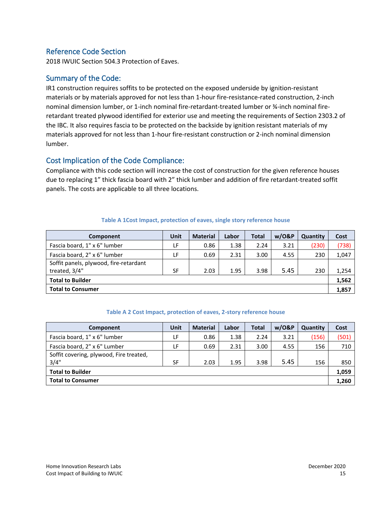2018 IWUIC Section 504.3 Protection of Eaves.

### Summary of the Code:

IR1 construction requires soffits to be protected on the exposed underside by ignition-resistant materials or by materials approved for not less than 1-hour fire-resistance-rated construction, 2-inch nominal dimension lumber, or 1-inch nominal fire-retardant-treated lumber or ¾-inch nominal fireretardant treated plywood identified for exterior use and meeting the requirements of Section 2303.2 of the IBC. It also requires fascia to be protected on the backside by ignition resistant materials of my materials approved for not less than 1-hour fire-resistant construction or 2-inch nominal dimension lumber.

#### Cost Implication of the Code Compliance:

Compliance with this code section will increase the cost of construction for the given reference houses due to replacing 1" thick fascia board with 2" thick lumber and addition of fire retardant-treated soffit panels. The costs are applicable to all three locations.

<span id="page-16-0"></span>

| Component                                               | Unit | <b>Material</b> | Labor | <b>Total</b> | w/O&P | Quantity | Cost  |
|---------------------------------------------------------|------|-----------------|-------|--------------|-------|----------|-------|
| Fascia board, 1" x 6" lumber                            | LF   | 0.86            | 1.38  | 2.24         | 3.21  | (230)    | (738) |
| Fascia board, 2" x 6" lumber                            | LF   | 0.69            | 2.31  | 3.00         | 4.55  | 230      | 1,047 |
| Soffit panels, plywood, fire-retardant<br>treated, 3/4" | SF   | 2.03            | 1.95  | 3.98         | 5.45  | 230      | 1,254 |
| <b>Total to Builder</b>                                 |      |                 |       |              |       |          | 1,562 |
| <b>Total to Consumer</b>                                |      |                 |       |              |       |          | 1,857 |

#### **Table A 1Cost Impact, protection of eaves, single story reference house**

#### **Table A 2 Cost Impact, protection of eaves, 2-story reference house**

<span id="page-16-1"></span>

| Component                               | Unit | <b>Material</b> | Labor | <b>Total</b> | w/0&P | Quantity | Cost  |  |
|-----------------------------------------|------|-----------------|-------|--------------|-------|----------|-------|--|
| Fascia board, 1" x 6" lumber            | LF   | 0.86            | 1.38  | 2.24         | 3.21  | (156)    | (501) |  |
| Fascia board, 2" x 6" Lumber            | LF   | 0.69            | 2.31  | 3.00         | 4.55  | 156      | 710   |  |
| Soffit covering, plywood, Fire treated, |      |                 |       |              |       |          |       |  |
| 3/4"                                    | SF   | 2.03            | 1.95  | 3.98         | 5.45  | 156      | 850   |  |
| <b>Total to Builder</b>                 |      |                 |       |              |       |          | 1,059 |  |
| <b>Total to Consumer</b>                |      |                 |       |              |       |          |       |  |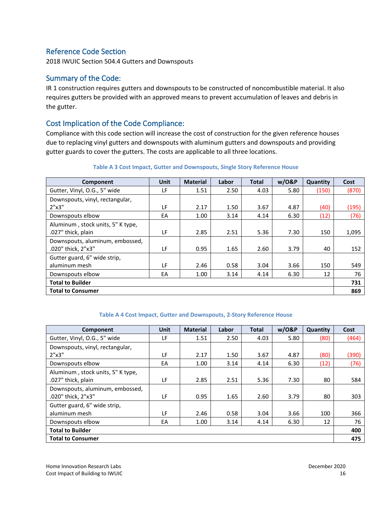2018 IWUIC Section 504.4 Gutters and Downspouts

### Summary of the Code:

IR 1 construction requires gutters and downspouts to be constructed of noncombustible material. It also requires gutters be provided with an approved means to prevent accumulation of leaves and debris in the gutter.

### Cost Implication of the Code Compliance:

Compliance with this code section will increase the cost of construction for the given reference houses due to replacing vinyl gutters and downspouts with aluminum gutters and downspouts and providing gutter guards to cover the gutters. The costs are applicable to all three locations.

<span id="page-17-0"></span>

| Component                         | Unit | <b>Material</b> | Labor | <b>Total</b> | w/O&P | Quantity | Cost  |
|-----------------------------------|------|-----------------|-------|--------------|-------|----------|-------|
| Gutter, Vinyl, O.G., 5" wide      | LF   | 1.51            | 2.50  | 4.03         | 5.80  | (150)    | (870) |
| Downspouts, vinyl, rectangular,   |      |                 |       |              |       |          |       |
| 2"x3"                             | LF   | 2.17            | 1.50  | 3.67         | 4.87  | (40)     | (195) |
| Downspouts elbow                  | EA   | 1.00            | 3.14  | 4.14         | 6.30  | (12)     | (76)  |
| Aluminum, stock units, 5" K type, |      |                 |       |              |       |          |       |
| .027" thick, plain                | LF   | 2.85            | 2.51  | 5.36         | 7.30  | 150      | 1,095 |
| Downspouts, aluminum, embossed,   |      |                 |       |              |       |          |       |
| .020" thick. 2"x3"                | LF   | 0.95            | 1.65  | 2.60         | 3.79  | 40       | 152   |
| Gutter guard, 6" wide strip,      |      |                 |       |              |       |          |       |
| aluminum mesh                     | LF   | 2.46            | 0.58  | 3.04         | 3.66  | 150      | 549   |
| Downspouts elbow                  | EA   | 1.00            | 3.14  | 4.14         | 6.30  | 12       | 76    |
| <b>Total to Builder</b>           |      |                 |       |              |       |          | 731   |
| <b>Total to Consumer</b>          |      |                 |       |              |       |          | 869   |

#### **Table A 3 Cost Impact, Gutter and Downspouts, Single Story Reference House**

#### **Table A 4 Cost Impact, Gutter and Downspouts, 2-Story Reference House**

<span id="page-17-1"></span>

| Component                         | <b>Unit</b> | <b>Material</b> | Labor | <b>Total</b> | W/0&P | Quantity | Cost  |
|-----------------------------------|-------------|-----------------|-------|--------------|-------|----------|-------|
| Gutter, Vinyl, O.G., 5" wide      | LF          | 1.51            | 2.50  | 4.03         | 5.80  | (80)     | (464) |
| Downspouts, vinyl, rectangular,   |             |                 |       |              |       |          |       |
| 2"x3"                             | LF          | 2.17            | 1.50  | 3.67         | 4.87  | (80)     | (390) |
| Downspouts elbow                  | EA          | 1.00            | 3.14  | 4.14         | 6.30  | (12)     | (76)  |
| Aluminum, stock units, 5" K type, |             |                 |       |              |       |          |       |
| .027" thick, plain                | LF          | 2.85            | 2.51  | 5.36         | 7.30  | 80       | 584   |
| Downspouts, aluminum, embossed,   |             |                 |       |              |       |          |       |
| .020" thick, 2"x3"                | LF          | 0.95            | 1.65  | 2.60         | 3.79  | 80       | 303   |
| Gutter guard, 6" wide strip,      |             |                 |       |              |       |          |       |
| aluminum mesh                     | LF          | 2.46            | 0.58  | 3.04         | 3.66  | 100      | 366   |
| Downspouts elbow                  | EA          | 1.00            | 3.14  | 4.14         | 6.30  | 12       | 76    |
| <b>Total to Builder</b>           |             |                 |       |              |       |          | 400   |
| <b>Total to Consumer</b>          |             |                 |       |              |       |          | 475   |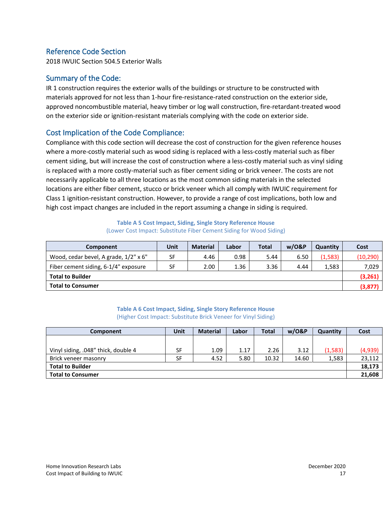2018 IWUIC Section 504.5 Exterior Walls

### Summary of the Code:

IR 1 construction requires the exterior walls of the buildings or structure to be constructed with materials approved for not less than 1-hour fire-resistance-rated construction on the exterior side, approved noncombustible material, heavy timber or log wall construction, fire-retardant-treated wood on the exterior side or ignition-resistant materials complying with the code on exterior side.

### Cost Implication of the Code Compliance:

Compliance with this code section will decrease the cost of construction for the given reference houses where a more-costly material such as wood siding is replaced with a less-costly material such as fiber cement siding, but will increase the cost of construction where a less-costly material such as vinyl siding is replaced with a more costly-material such as fiber cement siding or brick veneer. The costs are not necessarily applicable to all three locations as the most common siding materials in the selected locations are either fiber cement, stucco or brick veneer which all comply with IWUIC requirement for Class 1 ignition-resistant construction. However, to provide a range of cost implications, both low and high cost impact changes are included in the report assuming a change in siding is required.

<span id="page-18-0"></span>

| Component                             | Unit      | <b>Material</b> | Labor | <b>Total</b> | W/OBP | Quantity | Cost      |
|---------------------------------------|-----------|-----------------|-------|--------------|-------|----------|-----------|
| Wood, cedar bevel, A grade, 1/2" x 6" | <b>SF</b> | 4.46            | 0.98  | 5.44         | 6.50  | (1,583)  | (10, 290) |
| Fiber cement siding, 6-1/4" exposure  | <b>SF</b> | 2.00            | 1.36  | 3.36         | 4.44  | 1.583    | 7,029     |
| <b>Total to Builder</b>               |           |                 |       |              |       |          |           |
| <b>Total to Consumer</b>              |           |                 |       |              |       |          | (3, 877)  |

**Table A 5 Cost Impact, Siding, Single Story Reference House** (Lower Cost Impact: Substitute Fiber Cement Siding for Wood Siding)

#### **Table A 6 Cost Impact, Siding, Single Story Reference House** (Higher Cost Impact: Substitute Brick Veneer for Vinyl Siding)

<span id="page-18-1"></span>

| Component                           | <b>Unit</b> | <b>Material</b> | Labor | Total | w/O&P | Quantity | Cost    |
|-------------------------------------|-------------|-----------------|-------|-------|-------|----------|---------|
|                                     |             |                 |       |       |       |          |         |
| Vinyl siding, .048" thick, double 4 | SF          | 1.09            | 1.17  | 2.26  | 3.12  | (1, 583) | (4,939) |
| Brick veneer masonry                | <b>SF</b>   | 4.52            | 5.80  | 10.32 | 14.60 | 1,583    | 23,112  |
| <b>Total to Builder</b>             |             |                 |       |       |       |          | 18,173  |
| <b>Total to Consumer</b>            |             |                 |       |       |       |          | 21,608  |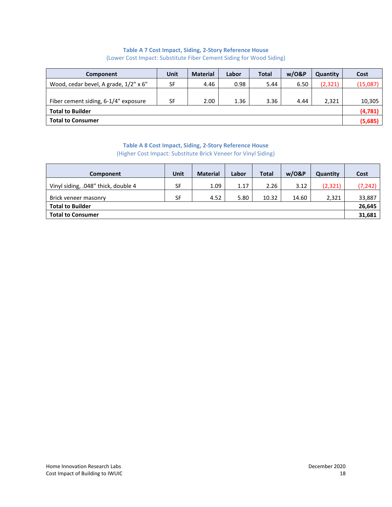#### **Table A 7 Cost Impact, Siding, 2-Story Reference House** (Lower Cost Impact: Substitute Fiber Cement Siding for Wood Siding)

<span id="page-19-0"></span>

| Component                             | Unit      | <b>Material</b> | Labor | <b>Total</b> | w/O&P | Quantity | Cost     |  |
|---------------------------------------|-----------|-----------------|-------|--------------|-------|----------|----------|--|
| Wood, cedar bevel, A grade, 1/2" x 6" | SF        | 4.46            | 0.98  | 5.44         | 6.50  | (2, 321) | (15,087) |  |
|                                       |           |                 |       |              |       |          |          |  |
| Fiber cement siding, 6-1/4" exposure  | <b>SF</b> | 2.00            | 1.36  | 3.36         | 4.44  | 2.321    | 10,305   |  |
| <b>Total to Builder</b>               |           |                 |       |              |       |          |          |  |
| <b>Total to Consumer</b>              |           |                 |       |              |       |          |          |  |

# **Table A 8 Cost Impact, Siding, 2-Story Reference House**

(Higher Cost Impact: Substitute Brick Veneer for Vinyl Siding)

<span id="page-19-1"></span>

| Component                           | Unit      | <b>Material</b> | Labor | <b>Total</b> | w/O&P | Quantity | Cost     |  |
|-------------------------------------|-----------|-----------------|-------|--------------|-------|----------|----------|--|
| Vinyl siding, .048" thick, double 4 | <b>SF</b> | 1.09            | 1.17  | 2.26         | 3.12  | (2, 321) | (7, 242) |  |
| Brick veneer masonry                | <b>SF</b> | 4.52            | 5.80  | 10.32        | 14.60 | 2,321    | 33,887   |  |
| <b>Total to Builder</b>             |           |                 |       |              |       |          |          |  |
| <b>Total to Consumer</b>            |           |                 |       |              |       |          |          |  |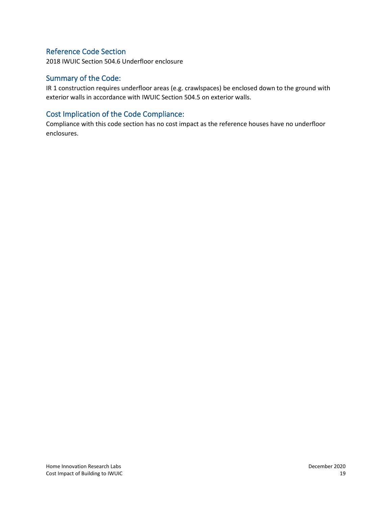2018 IWUIC Section 504.6 Underfloor enclosure

### Summary of the Code:

IR 1 construction requires underfloor areas (e.g. crawlspaces) be enclosed down to the ground with exterior walls in accordance with IWUIC Section 504.5 on exterior walls.

### Cost Implication of the Code Compliance:

Compliance with this code section has no cost impact as the reference houses have no underfloor enclosures.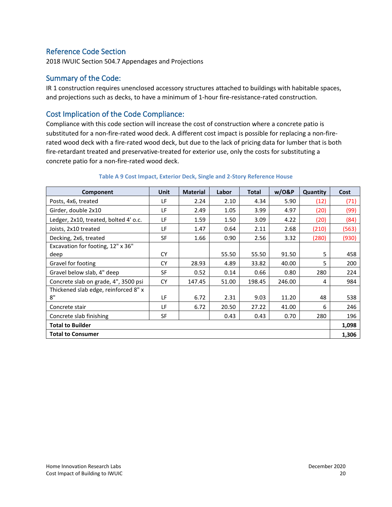2018 IWUIC Section 504.7 Appendages and Projections

### Summary of the Code:

IR 1 construction requires unenclosed accessory structures attached to buildings with habitable spaces, and projections such as decks, to have a minimum of 1-hour fire-resistance-rated construction.

### Cost Implication of the Code Compliance:

Compliance with this code section will increase the cost of construction where a concrete patio is substituted for a non-fire-rated wood deck. A different cost impact is possible for replacing a non-firerated wood deck with a fire-rated wood deck, but due to the lack of pricing data for lumber that is both fire-retardant treated and preservative-treated for exterior use, only the costs for substituting a concrete patio for a non-fire-rated wood deck.

<span id="page-21-0"></span>

| <b>Component</b>                      | <b>Unit</b> | <b>Material</b> | Labor | <b>Total</b> | w/O&P  | Quantity | Cost  |  |
|---------------------------------------|-------------|-----------------|-------|--------------|--------|----------|-------|--|
| Posts, 4x6, treated                   | LF          | 2.24            | 2.10  | 4.34         | 5.90   | (12)     | (71)  |  |
| Girder, double 2x10                   | LF          | 2.49            | 1.05  | 3.99         | 4.97   | (20)     | (99)  |  |
| Ledger, 2x10, treated, bolted 4' o.c. | LF          | 1.59            | 1.50  | 3.09         | 4.22   | (20)     | (84)  |  |
| Joists, 2x10 treated                  | LF          | 1.47            | 0.64  | 2.11         | 2.68   | (210)    | (563) |  |
| Decking, 2x6, treated                 | <b>SF</b>   | 1.66            | 0.90  | 2.56         | 3.32   | (280)    | (930) |  |
| Excavation for footing, 12" x 36"     |             |                 |       |              |        |          |       |  |
| deep                                  | <b>CY</b>   |                 | 55.50 | 55.50        | 91.50  | 5        | 458   |  |
| Gravel for footing                    | <b>CY</b>   | 28.93           | 4.89  | 33.82        | 40.00  | 5        | 200   |  |
| Gravel below slab, 4" deep            | SF          | 0.52            | 0.14  | 0.66         | 0.80   | 280      | 224   |  |
| Concrete slab on grade, 4", 3500 psi  | <b>CY</b>   | 147.45          | 51.00 | 198.45       | 246.00 | 4        | 984   |  |
| Thickened slab edge, reinforced 8" x  |             |                 |       |              |        |          |       |  |
| 8"                                    | LF          | 6.72            | 2.31  | 9.03         | 11.20  | 48       | 538   |  |
| Concrete stair                        | LF          | 6.72            | 20.50 | 27.22        | 41.00  | 6        | 246   |  |
| Concrete slab finishing               | SF          |                 | 0.43  | 0.43         | 0.70   | 280      | 196   |  |
| <b>Total to Builder</b>               |             |                 |       |              |        |          |       |  |
| <b>Total to Consumer</b>              |             |                 |       |              |        |          | 1,306 |  |

#### **Table A 9 Cost Impact, Exterior Deck, Single and 2-Story Reference House**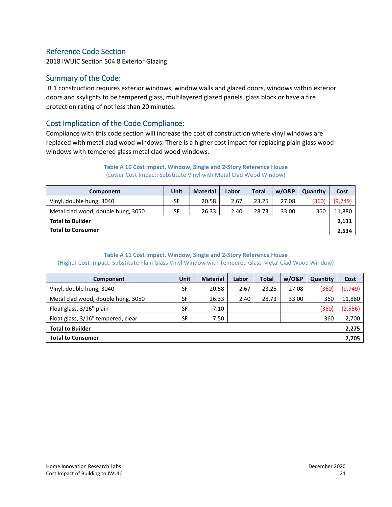2018 IWUIC Section 504.8 Exterior Glazing

### Summary of the Code:

IR 1 construction requires exterior windows, window walls and glazed doors, windows within exterior doors and skylights to be tempered glass, multilayered glazed panels, glass block or have a fire protection rating of not less than 20 minutes.

### Cost Implication of the Code Compliance:

Compliance with this code section will increase the cost of construction where vinyl windows are replaced with metal-clad wood windows. There is a higher cost impact for replacing plain glass wood windows with tempered glass metal clad wood windows.

#### **Table A 10 Cost Impact, Window, Single and 2-Story Reference House** (Lower Cost Impact: Substitute Vinyl with Metal Clad Wood Window)

<span id="page-22-0"></span>

| Component                          | <b>Unit</b> | <b>Material</b> | Labor | <b>Total</b> | w/O&P | <b>Quantity</b> | Cost    |
|------------------------------------|-------------|-----------------|-------|--------------|-------|-----------------|---------|
| Vinyl, double hung, 3040           | SF          | 20.58           | 2.67  | 23.25        | 27.08 | (360)           | (9,749) |
| Metal clad wood, double hung, 3050 | SF          | 26.33           | 2.40  | 28.73        | 33.00 | 360             | 11,880  |
| <b>Total to Builder</b>            |             |                 |       |              |       |                 |         |
| <b>Total to Consumer</b>           |             |                 |       |              |       |                 | 2,534   |

#### **Table A 11 Cost Impact, Window, Single and 2-Story Reference House**

<span id="page-22-1"></span>(Higher Cost Impact: Substitute Plain Glass Vinyl Window with Tempered Glass Metal Clad Wood Window)

| Component                          | Unit      | <b>Material</b> | Labor | <b>Total</b> | W/0&P | Quantity | Cost     |  |
|------------------------------------|-----------|-----------------|-------|--------------|-------|----------|----------|--|
| Vinyl, double hung, 3040           | <b>SF</b> | 20.58           | 2.67  | 23.25        | 27.08 | (360)    | (9,749)  |  |
| Metal clad wood, double hung, 3050 | <b>SF</b> | 26.33           | 2.40  | 28.73        | 33.00 | 360      | 11,880   |  |
| Float glass, 3/16" plain           | <b>SF</b> | 7.10            |       |              |       | (360)    | (2, 556) |  |
| Float glass, 3/16" tempered, clear | <b>SF</b> | 7.50            |       |              |       | 360      | 2,700    |  |
| <b>Total to Builder</b>            |           |                 |       |              |       |          |          |  |
| <b>Total to Consumer</b>           |           |                 |       |              |       |          | 2,705    |  |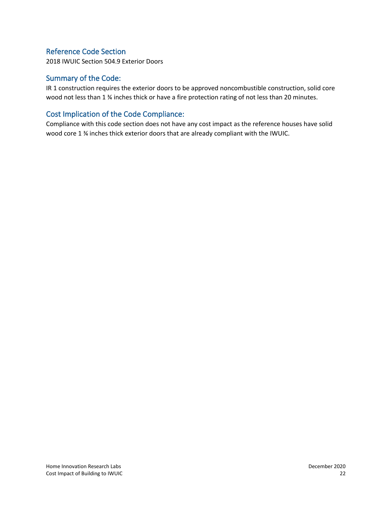2018 IWUIC Section 504.9 Exterior Doors

#### Summary of the Code:

IR 1 construction requires the exterior doors to be approved noncombustible construction, solid core wood not less than 1 % inches thick or have a fire protection rating of not less than 20 minutes.

### Cost Implication of the Code Compliance:

Compliance with this code section does not have any cost impact as the reference houses have solid wood core 1 ¾ inches thick exterior doors that are already compliant with the IWUIC.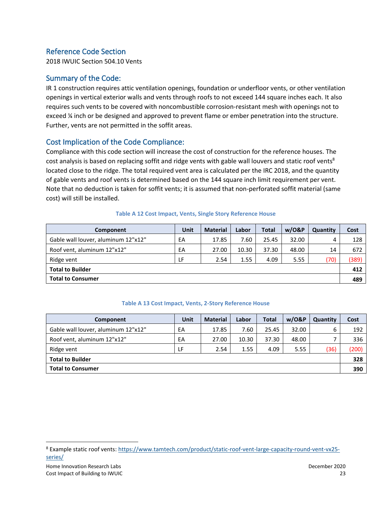2018 IWUIC Section 504.10 Vents

### Summary of the Code:

IR 1 construction requires attic ventilation openings, foundation or underfloor vents, or other ventilation openings in vertical exterior walls and vents through roofs to not exceed 144 square inches each. It also requires such vents to be covered with noncombustible corrosion-resistant mesh with openings not to exceed ¼ inch or be designed and approved to prevent flame or ember penetration into the structure. Further, vents are not permitted in the soffit areas.

#### Cost Implication of the Code Compliance:

Compliance with this code section will increase the cost of construction for the reference houses. The cost analysis is based on replacing soffit and ridge vents with gable wall louvers and static roof vents<sup>8</sup> located close to the ridge. The total required vent area is calculated per the IRC 2018, and the quantity of gable vents and roof vents is determined based on the 144 square inch limit requirement per vent. Note that no deduction is taken for soffit vents; it is assumed that non-perforated soffit material (same cost) will still be installed.

#### **Table A 12 Cost Impact, Vents, Single Story Reference House**

<span id="page-24-0"></span>

| Component                           | Unit | <b>Material</b> | Labor | <b>Total</b> | W/OBP | Quantity | Cost  |  |  |
|-------------------------------------|------|-----------------|-------|--------------|-------|----------|-------|--|--|
| Gable wall louver, aluminum 12"x12" | EA   | 17.85           | 7.60  | 25.45        | 32.00 | 4        | 128   |  |  |
| Roof vent, aluminum 12"x12"         | EA   | 27.00           | 10.30 | 37.30        | 48.00 | 14       | 672   |  |  |
| Ridge vent                          | LF   | 2.54            | 1.55  | 4.09         | 5.55  | (70)     | (389) |  |  |
| <b>Total to Builder</b>             |      |                 |       |              |       |          |       |  |  |
| <b>Total to Consumer</b>            |      |                 |       |              |       |          |       |  |  |

#### **Table A 13 Cost Impact, Vents, 2-Story Reference House**

<span id="page-24-1"></span>

| Component                           | Unit | <b>Material</b> | Labor | <b>Total</b> | W/0&P | Quantity | Cost  |  |
|-------------------------------------|------|-----------------|-------|--------------|-------|----------|-------|--|
| Gable wall louver, aluminum 12"x12" | EA   | 17.85           | 7.60  | 25.45        | 32.00 | 6        | 192   |  |
| Roof vent, aluminum 12"x12"         | EA   | 27.00           | 10.30 | 37.30        | 48.00 |          | 336   |  |
| Ridge vent                          | LF.  | 2.54            | 1.55  | 4.09         | 5.55  | (36)     | (200) |  |
| <b>Total to Builder</b>             |      |                 |       |              |       |          |       |  |
| <b>Total to Consumer</b>            |      |                 |       |              |       |          | 390   |  |

<sup>&</sup>lt;sup>8</sup> Example static roof vents: [https://www.tamtech.com/product/static-roof-vent-large-capacity-round-vent-vx25](https://www.tamtech.com/product/static-roof-vent-large-capacity-round-vent-vx25-series/) [series/](https://www.tamtech.com/product/static-roof-vent-large-capacity-round-vent-vx25-series/)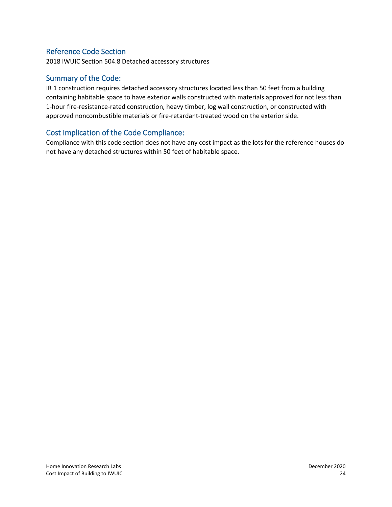2018 IWUIC Section 504.8 Detached accessory structures

### Summary of the Code:

IR 1 construction requires detached accessory structures located less than 50 feet from a building containing habitable space to have exterior walls constructed with materials approved for not less than 1-hour fire-resistance-rated construction, heavy timber, log wall construction, or constructed with approved noncombustible materials or fire-retardant-treated wood on the exterior side.

### Cost Implication of the Code Compliance:

Compliance with this code section does not have any cost impact as the lots for the reference houses do not have any detached structures within 50 feet of habitable space.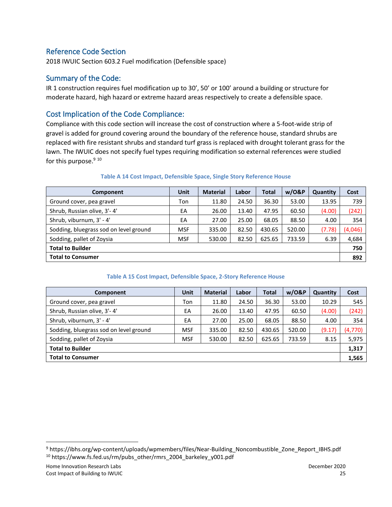2018 IWUIC Section 603.2 Fuel modification (Defensible space)

### Summary of the Code:

IR 1 construction requires fuel modification up to 30', 50' or 100' around a building or structure for moderate hazard, high hazard or extreme hazard areas respectively to create a defensible space.

### Cost Implication of the Code Compliance:

Compliance with this code section will increase the cost of construction where a 5-foot-wide strip of gravel is added for ground covering around the boundary of the reference house, standard shrubs are replaced with fire resistant shrubs and standard turf grass is replaced with drought tolerant grass for the lawn. The IWUIC does not specify fuel types requiring modification so external references were studied for this purpose. $910$ 

<span id="page-26-0"></span>

| Component                              | Unit       | <b>Material</b> | Labor | <b>Total</b> | W/0&P  | Quantity | Cost    |
|----------------------------------------|------------|-----------------|-------|--------------|--------|----------|---------|
| Ground cover, pea gravel               | Ton        | 11.80           | 24.50 | 36.30        | 53.00  | 13.95    | 739     |
| Shrub, Russian olive, 3'-4'            | EA         | 26.00           | 13.40 | 47.95        | 60.50  | (4.00)   | (242)   |
| Shrub, viburnum, 3' - 4'               | EA         | 27.00           | 25.00 | 68.05        | 88.50  | 4.00     | 354     |
| Sodding, bluegrass sod on level ground | <b>MSF</b> | 335.00          | 82.50 | 430.65       | 520.00 | (7.78)   | (4,046) |
| Sodding, pallet of Zoysia              | <b>MSF</b> | 530.00          | 82.50 | 625.65       | 733.59 | 6.39     | 4,684   |
| <b>Total to Builder</b>                |            |                 |       |              |        |          | 750     |
| <b>Total to Consumer</b>               |            |                 |       |              |        |          | 892     |

#### **Table A 14 Cost Impact, Defensible Space, Single Story Reference House**

#### **Table A 15 Cost Impact, Defensible Space, 2-Story Reference House**

<span id="page-26-1"></span>

| Component                              | Unit       | <b>Material</b> | Labor | <b>Total</b> | W/ORP  | Quantity | Cost     |
|----------------------------------------|------------|-----------------|-------|--------------|--------|----------|----------|
| Ground cover, pea gravel               | Ton        | 11.80           | 24.50 | 36.30        | 53.00  | 10.29    | 545      |
| Shrub, Russian olive, 3'-4'            | EA         | 26.00           | 13.40 | 47.95        | 60.50  | (4.00)   | (242)    |
| Shrub, viburnum, 3' - 4'               | EA         | 27.00           | 25.00 | 68.05        | 88.50  | 4.00     | 354      |
| Sodding, bluegrass sod on level ground | <b>MSF</b> | 335.00          | 82.50 | 430.65       | 520.00 | (9.17)   | (4, 770) |
| Sodding, pallet of Zoysia              | <b>MSF</b> | 530.00          | 82.50 | 625.65       | 733.59 | 8.15     | 5,975    |
| <b>Total to Builder</b>                |            |                 |       |              |        |          | 1,317    |
| <b>Total to Consumer</b>               |            |                 |       |              |        |          | 1,565    |

<sup>9</sup> https://ibhs.org/wp-content/uploads/wpmembers/files/Near-Building\_Noncombustible\_Zone\_Report\_IBHS.pdf <sup>10</sup> https://www.fs.fed.us/rm/pubs\_other/rmrs\_2004\_barkeley\_y001.pdf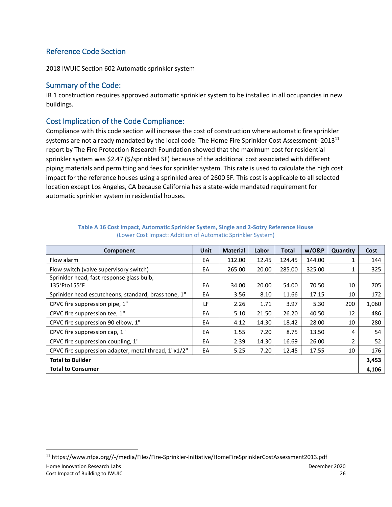2018 IWUIC Section 602 Automatic sprinkler system

#### Summary of the Code:

IR 1 construction requires approved automatic sprinkler system to be installed in all occupancies in new buildings.

#### Cost Implication of the Code Compliance:

Compliance with this code section will increase the cost of construction where automatic fire sprinkler systems are not already mandated by the local code. The Home Fire Sprinkler Cost Assessment- $2013^{11}$ report by The Fire Protection Research Foundation showed that the maximum cost for residential sprinkler system was \$2.47 (\$/sprinkled SF) because of the additional cost associated with different piping materials and permitting and fees for sprinkler system. This rate is used to calculate the high cost impact for the reference houses using a sprinkled area of 2600 SF. This cost is applicable to all selected location except Los Angeles, CA because California has a state-wide mandated requirement for automatic sprinkler system in residential houses.

<span id="page-27-0"></span>

| Component                                            | <b>Unit</b> | <b>Material</b> | Labor | Total  | w/O&P  | <b>Quantity</b> | Cost  |
|------------------------------------------------------|-------------|-----------------|-------|--------|--------|-----------------|-------|
| Flow alarm                                           | EA          | 112.00          | 12.45 | 124.45 | 144.00 |                 | 144   |
| Flow switch (valve supervisory switch)               | EA          | 265.00          | 20.00 | 285.00 | 325.00 |                 | 325   |
| Sprinkler head, fast response glass bulb,            |             |                 |       |        |        |                 |       |
| 135°Fto155°F                                         | EA          | 34.00           | 20.00 | 54.00  | 70.50  | 10              | 705   |
| Sprinkler head escutcheons, standard, brass tone, 1" | EA          | 3.56            | 8.10  | 11.66  | 17.15  | 10              | 172   |
| CPVC fire suppression pipe, 1"                       | LF          | 2.26            | 1.71  | 3.97   | 5.30   | 200             | 1,060 |
| CPVC fire suppression tee, 1"                        | EA          | 5.10            | 21.50 | 26.20  | 40.50  | 12              | 486   |
| CPVC fire suppression 90 elbow, 1"                   | EA          | 4.12            | 14.30 | 18.42  | 28.00  | 10              | 280   |
| CPVC fire suppression cap, 1"                        | EA          | 1.55            | 7.20  | 8.75   | 13.50  | 4               | 54    |
| CPVC fire suppression coupling, 1"                   | EA          | 2.39            | 14.30 | 16.69  | 26.00  | 2               | 52    |
| CPVC fire suppression adapter, metal thread, 1"x1/2" | EA          | 5.25            | 7.20  | 12.45  | 17.55  | 10              | 176   |
| <b>Total to Builder</b>                              |             |                 |       |        |        |                 |       |
| <b>Total to Consumer</b>                             |             |                 |       |        |        |                 |       |

#### **Table A 16 Cost Impact, Automatic Sprinkler System, Single and 2-Sotry Reference House** (Lower Cost Impact: Addition of Automatic Sprinkler System)

<sup>11</sup> https://www.nfpa.org//-/media/Files/Fire-Sprinkler-Initiative/HomeFireSprinklerCostAssessment2013.pdf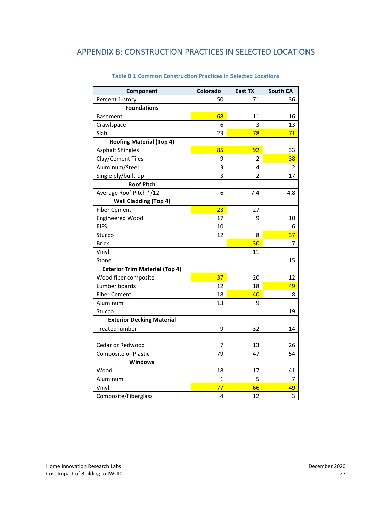# <span id="page-28-1"></span><span id="page-28-0"></span>APPENDIX B: CONSTRUCTION PRACTICES IN SELECTED LOCATIONS

| Component                             | Colorado | <b>East TX</b> | South CA       |
|---------------------------------------|----------|----------------|----------------|
| Percent 1-story                       | 50       | 71             | 36             |
| <b>Foundations</b>                    |          |                |                |
| <b>Basement</b>                       | 68       | 11             | 16             |
| Crawlspace                            | 6        | 3              | 13             |
| Slab                                  | 23       | 78             | 71             |
| <b>Roofing Material (Top 4)</b>       |          |                |                |
| <b>Asphalt Shingles</b>               | 85       | 92             | 33             |
| Clay/Cement Tiles                     | 9        | 2              | 38             |
| Aluminum/Steel                        | 3        | 4              | 2              |
| Single ply/built-up                   | 3        | 2              | 17             |
| <b>Roof Pitch</b>                     |          |                |                |
| Average Roof Pitch */12               | 6        | 7.4            | 4.8            |
| <b>Wall Cladding (Top 4)</b>          |          |                |                |
| <b>Fiber Cement</b>                   | 23       | 27             |                |
| <b>Engineered Wood</b>                | 17       | 9              | 10             |
| <b>EIFS</b>                           | 10       |                | 6              |
| Stucco                                | 12       | 8              | 37             |
| <b>Brick</b>                          |          | 30             | $\overline{7}$ |
| Vinyl                                 |          | 11             |                |
| Stone                                 |          |                | 15             |
| <b>Exterior Trim Material (Top 4)</b> |          |                |                |
| Wood fiber composite                  | 37       | 20             | 12             |
| Lumber boards                         | 12       | 18             | 49             |
| <b>Fiber Cement</b>                   | 18       | 40             | 8              |
| Aluminum                              | 13       | 9              |                |
| Stucco                                |          |                | 19             |
| <b>Exterior Decking Material</b>      |          |                |                |
| <b>Treated lumber</b>                 | 9        | 32             | 14             |
|                                       |          |                |                |
| Cedar or Redwood                      | 7        | 13             | 26             |
| Composite or Plastic                  | 79       | 47             | 54             |
| <b>Windows</b>                        |          |                |                |
| Wood                                  | 18       | 17             | 41             |
| Aluminum                              | 1        | 5              | 7              |
| Vinyl                                 | 77       | 66             | 49             |
| Composite/Fiberglass                  | 4        | 12             | 3              |

#### **Table B 1 Common Construction Practices in Selected Locations**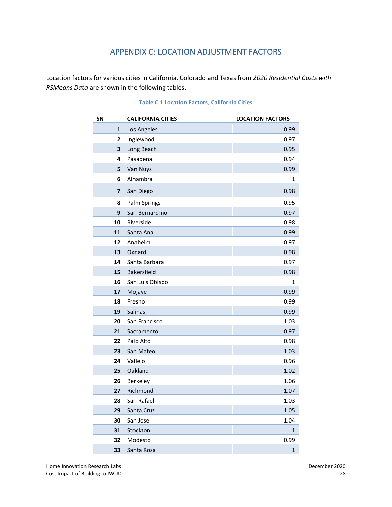# APPENDIX C: LOCATION ADJUSTMENT FACTORS

<span id="page-29-1"></span><span id="page-29-0"></span>Location factors for various cities in California, Colorado and Texas from *2020 Residential Costs with RSMeans Data* are shown in the following tables.

| SN             | <b>CALIFORNIA CITIES</b> | <b>LOCATION FACTORS</b> |
|----------------|--------------------------|-------------------------|
| $\mathbf{1}$   | Los Angeles              | 0.99                    |
| 2              | Inglewood                | 0.97                    |
| 3              | Long Beach               | 0.95                    |
| 4              | Pasadena                 | 0.94                    |
| 5              | Van Nuys                 | 0.99                    |
| 6              | Alhambra                 | 1                       |
| $\overline{7}$ | San Diego                | 0.98                    |
| 8              | Palm Springs             | 0.95                    |
| 9              | San Bernardino           | 0.97                    |
| 10             | Riverside                | 0.98                    |
| 11             | Santa Ana                | 0.99                    |
| 12             | Anaheim                  | 0.97                    |
| 13             | Oxnard                   | 0.98                    |
| 14             | Santa Barbara            | 0.97                    |
| 15             | Bakersfield              | 0.98                    |
| 16             | San Luis Obispo          | 1                       |
| 17             | Mojave                   | 0.99                    |
| 18             | Fresno                   | 0.99                    |
| 19             | Salinas                  | 0.99                    |
| 20             | San Francisco            | 1.03                    |
| 21             | Sacramento               | 0.97                    |
| 22             | Palo Alto                | 0.98                    |
| 23             | San Mateo                | 1.03                    |
| 24             | Vallejo                  | 0.96                    |
| 25             | Oakland                  | 1.02                    |
| 26             | Berkeley                 | 1.06                    |
| 27             | Richmond                 | 1.07                    |
| 28             | San Rafael               | 1.03                    |
| 29             | Santa Cruz               | 1.05                    |
| 30             | San Jose                 | 1.04                    |
| 31             | Stockton                 | 1                       |
| 32             | Modesto                  | 0.99                    |
| 33             | Santa Rosa               | $\mathbf 1$             |

#### **Table C 1 Location Factors, California Cities**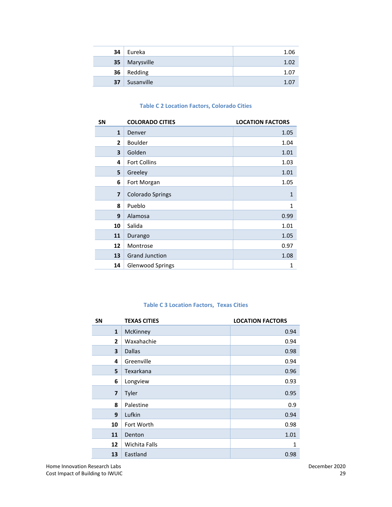| 34 | Eureka     | 1.06 |
|----|------------|------|
| 35 | Marysville | 1.02 |
| 36 | Redding    | 1.07 |
| 37 | Susanville | 1 07 |

#### **Table C 2 Location Factors, Colorado Cities**

<span id="page-30-0"></span>

| SN                      | <b>COLORADO CITIES</b>  | <b>LOCATION FACTORS</b> |
|-------------------------|-------------------------|-------------------------|
| $\mathbf{1}$            | Denver                  | 1.05                    |
| $\overline{2}$          | <b>Boulder</b>          | 1.04                    |
| 3                       | Golden                  | 1.01                    |
| 4                       | <b>Fort Collins</b>     | 1.03                    |
| 5                       | Greeley                 | 1.01                    |
| 6                       | Fort Morgan             | 1.05                    |
| $\overline{\mathbf{z}}$ | <b>Colorado Springs</b> | $\mathbf{1}$            |
| 8                       | Pueblo                  | 1                       |
| 9                       | Alamosa                 | 0.99                    |
| 10                      | Salida                  | 1.01                    |
| 11                      | Durango                 | 1.05                    |
| 12                      | Montrose                | 0.97                    |
| 13                      | <b>Grand Junction</b>   | 1.08                    |
| 14                      | <b>Glenwood Springs</b> | 1                       |

#### **Table C 3 Location Factors, Texas Cities**

<span id="page-30-1"></span>

| <b>SN</b>               | <b>TEXAS CITIES</b> | <b>LOCATION FACTORS</b> |
|-------------------------|---------------------|-------------------------|
| $\mathbf{1}$            | McKinney            | 0.94                    |
| $\mathbf{2}$            | Waxahachie          | 0.94                    |
| 3                       | <b>Dallas</b>       | 0.98                    |
| 4                       | Greenville          | 0.94                    |
| 5                       | Texarkana           | 0.96                    |
| 6                       | Longview            | 0.93                    |
| $\overline{\mathbf{z}}$ | Tyler               | 0.95                    |
| 8                       | Palestine           | 0.9                     |
| 9                       | Lufkin              | 0.94                    |
| 10                      | Fort Worth          | 0.98                    |
| 11                      | Denton              | 1.01                    |
| 12                      | Wichita Falls       | 1                       |
| 13                      | Eastland            | 0.98                    |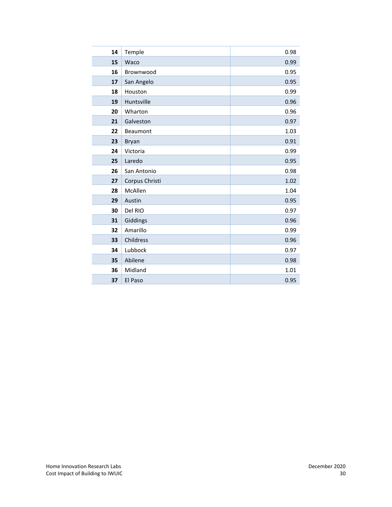| 14 | Temple         | 0.98 |
|----|----------------|------|
| 15 | Waco           | 0.99 |
| 16 | Brownwood      | 0.95 |
| 17 | San Angelo     | 0.95 |
| 18 | Houston        | 0.99 |
| 19 | Huntsville     | 0.96 |
| 20 | Wharton        | 0.96 |
| 21 | Galveston      | 0.97 |
| 22 | Beaumont       | 1.03 |
| 23 | Bryan          | 0.91 |
| 24 | Victoria       | 0.99 |
| 25 | Laredo         | 0.95 |
| 26 | San Antonio    | 0.98 |
| 27 | Corpus Christi | 1.02 |
| 28 | McAllen        | 1.04 |
| 29 | Austin         | 0.95 |
| 30 | Del RIO        | 0.97 |
| 31 | Giddings       | 0.96 |
| 32 | Amarillo       | 0.99 |
| 33 | Childress      | 0.96 |
| 34 | Lubbock        | 0.97 |
| 35 | Abilene        | 0.98 |
| 36 | Midland        | 1.01 |
| 37 | El Paso        | 0.95 |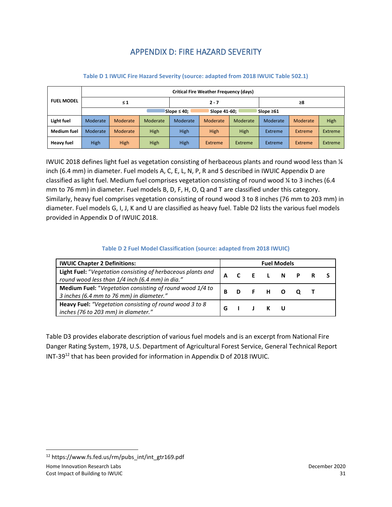# APPENDIX D: FIRE HAZARD SEVERITY

<span id="page-32-1"></span><span id="page-32-0"></span>

|                    | <b>Critical Fire Weather Frequency (days)</b> |          |          |          |          |                 |          |                |                |
|--------------------|-----------------------------------------------|----------|----------|----------|----------|-----------------|----------|----------------|----------------|
| <b>FUEL MODEL</b>  | $\leq 1$                                      |          |          | $2 - 7$  |          |                 | ≥8       |                |                |
|                    | Slope $\leq 40$ ;<br>Slope 41-60:             |          |          |          |          | Slope $\geq 61$ |          |                |                |
| Light fuel         | Moderate                                      | Moderate | Moderate | Moderate | Moderate | Moderate        | Moderate | Moderate       | High           |
| <b>Medium fuel</b> | Moderate                                      | Moderate | High     | High     | High     | High            | Extreme  | Extreme        | Extreme        |
| <b>Heavy fuel</b>  | High                                          | High     | High     | High     | Extreme  | Extreme         | Extreme  | <b>Extreme</b> | <b>Extreme</b> |

#### **Table D 1 IWUIC Fire Hazard Severity (source: adapted from 2018 IWUIC Table 502.1)**

IWUIC 2018 defines light fuel as vegetation consisting of herbaceous plants and round wood less than ¼ inch (6.4 mm) in diameter. Fuel models A, C, E, L, N, P, R and S described in IWUIC Appendix D are classified as light fuel. Medium fuel comprises vegetation consisting of round wood ¼ to 3 inches (6.4 mm to 76 mm) in diameter. Fuel models B, D, F, H, O, Q and T are classified under this category. Similarly, heavy fuel comprises vegetation consisting of round wood 3 to 8 inches (76 mm to 203 mm) in diameter. Fuel models G, I, J, K and U are classified as heavy fuel. Table D2 lists the various fuel models provided in Appendix D of IWUIC 2018.

#### **Table D 2 Fuel Model Classification (source: adapted from 2018 IWUIC)**

<span id="page-32-2"></span>

| <b>IWUIC Chapter 2 Definitions:</b>                                                                            |              |  | <b>Fuel Models</b> |     |  |  |  |  |  |  |
|----------------------------------------------------------------------------------------------------------------|--------------|--|--------------------|-----|--|--|--|--|--|--|
| Light Fuel: "Vegetation consisting of herbaceous plants and<br>round wood less than 1/4 inch (6.4 mm) in dia." | CELNPRS<br>A |  |                    |     |  |  |  |  |  |  |
| Medium Fuel: "Vegetation consisting of round wood 1/4 to<br>3 inches (6.4 mm to 76 mm) in diameter."           |              |  |                    | FHO |  |  |  |  |  |  |
| Heavy Fuel: "Vegetation consisting of round wood 3 to 8<br>inches (76 to 203 mm) in diameter."                 |              |  |                    |     |  |  |  |  |  |  |

Table D3 provides elaborate description of various fuel models and is an excerpt from National Fire Danger Rating System, 1978, U.S. Department of Agricultural Forest Service, General Technical Report INT-39<sup>12</sup> that has been provided for information in Appendix D of 2018 IWUIC.

<sup>12</sup> https://www.fs.fed.us/rm/pubs\_int/int\_gtr169.pdf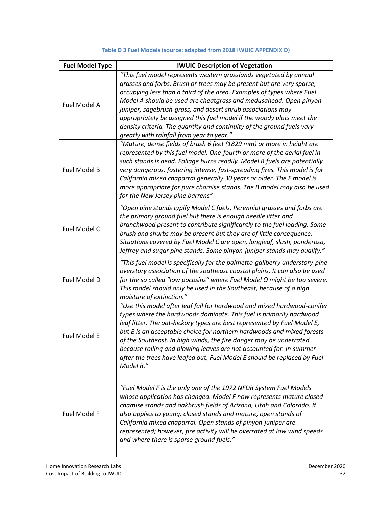#### **Table D 3 Fuel Models (source: adapted from 2018 IWUIC APPENDIX D)**

<span id="page-33-0"></span>

| <b>Fuel Model Type</b> | <b>IWUIC Description of Vegetation</b>                                                                                                                                                                                                                                                                                                                                                                                                                                                                                                                    |
|------------------------|-----------------------------------------------------------------------------------------------------------------------------------------------------------------------------------------------------------------------------------------------------------------------------------------------------------------------------------------------------------------------------------------------------------------------------------------------------------------------------------------------------------------------------------------------------------|
| <b>Fuel Model A</b>    | "This fuel model represents western grasslands vegetated by annual<br>grasses and forbs. Brush or trees may be present but are very sparse,<br>occupying less than a third of the area. Examples of types where Fuel<br>Model A should be used are cheatgrass and medusahead. Open pinyon-<br>juniper, sagebrush-grass, and desert shrub associations may<br>appropriately be assigned this fuel model if the woody plats meet the<br>density criteria. The quantity and continuity of the ground fuels vary<br>greatly with rainfall from year to year." |
| Fuel Model B           | "Mature, dense fields of brush 6 feet (1829 mm) or more in height are<br>represented by this fuel model. One-fourth or more of the aerial fuel in<br>such stands is dead. Foliage burns readily. Model B fuels are potentially<br>very dangerous, fostering intense, fast-spreading fires. This model is for<br>California mixed chaparral generally 30 years or older. The F model is<br>more appropriate for pure chamise stands. The B model may also be used<br>for the New Jersey pine barrens"                                                      |
| Fuel Model C           | "Open pine stands typify Model C fuels. Perennial grasses and forbs are<br>the primary ground fuel but there is enough needle litter and<br>branchwood present to contribute significantly to the fuel loading. Some<br>brush and shurbs may be present but they are of little consequence.<br>Situations covered by Fuel Model C are open, longleaf, slash, ponderosa,<br>Jeffrey and sugar pine stands. Some pinyon-juniper stands may qualify."                                                                                                        |
| Fuel Model D           | "This fuel model is specifically for the palmetto-gallberry understory-pine<br>overstory association of the southeast coastal plains. It can also be used<br>for the so called "low pocosins" where Fuel Model O might be too severe.<br>This model should only be used in the Southeast, because of a high<br>moisture of extinction."                                                                                                                                                                                                                   |
| <b>Fuel Model E</b>    | "Use this model after leaf fall for hardwood and mixed hardwood-conifer<br>types where the hardwoods dominate. This fuel is primarily hardwood<br>leaf litter. The oat-hickory types are best represented by Fuel Model E,<br>but E is an acceptable choice for northern hardwoods and mixed forests<br>of the Southeast. In high winds, the fire danger may be underrated<br>because rolling and blowing leaves are not accounted for. In summer<br>after the trees have leafed out, Fuel Model E should be replaced by Fuel<br>Model R."                |
| <b>Fuel Model F</b>    | "Fuel Model F is the only one of the 1972 NFDR System Fuel Models<br>whose application has changed. Model F now represents mature closed<br>chamise stands and oakbrush fields of Arizona, Utah and Colorado. It<br>also applies to young, closed stands and mature, open stands of<br>California mixed chaparral. Open stands of pinyon-juniper are<br>represented; however, fire activity will be overrated at low wind speeds<br>and where there is sparse ground fuels."                                                                              |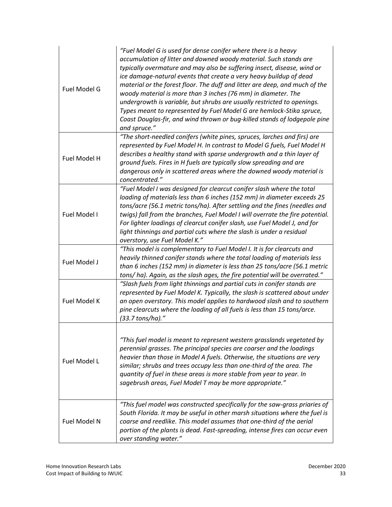| Fuel Model G        | "Fuel Model G is used for dense conifer where there is a heavy<br>accumulation of litter and downed woody material. Such stands are<br>typically overmature and may also be suffering insect, disease, wind or<br>ice damage-natural events that create a very heavy buildup of dead<br>material or the forest floor. The duff and litter are deep, and much of the<br>woody material is more than 3 inches (76 mm) in diameter. The<br>undergrowth is variable, but shrubs are usually restricted to openings.<br>Types meant to represented by Fuel Model G are hemlock-Stika spruce,<br>Coast Douglas-fir, and wind thrown or bug-killed stands of lodgepole pine<br>and spruce." |
|---------------------|--------------------------------------------------------------------------------------------------------------------------------------------------------------------------------------------------------------------------------------------------------------------------------------------------------------------------------------------------------------------------------------------------------------------------------------------------------------------------------------------------------------------------------------------------------------------------------------------------------------------------------------------------------------------------------------|
| Fuel Model H        | "The short-needled conifers (white pines, spruces, larches and firs) are<br>represented by Fuel Model H. In contrast to Model G fuels, Fuel Model H<br>describes a healthy stand with sparse undergrowth and a thin layer of<br>ground fuels. Fires in H fuels are typically slow spreading and are<br>dangerous only in scattered areas where the downed woody material is<br>concentrated."                                                                                                                                                                                                                                                                                        |
| <b>Fuel Model I</b> | "Fuel Model I was designed for clearcut conifer slash where the total<br>loading of materials less than 6 inches (152 mm) in diameter exceeds 25<br>tons/acre (56.1 metric tons/ha). After settling and the fines (needles and<br>twigs) fall from the branches, Fuel Model I will overrate the fire potential.<br>For lighter loadings of clearcut conifer slash, use Fuel Model J, and for<br>light thinnings and partial cuts where the slash is under a residual<br>overstory, use Fuel Model K."                                                                                                                                                                                |
| Fuel Model J        | "This model is complementary to Fuel Model I. It is for clearcuts and<br>heavily thinned conifer stands where the total loading of materials less<br>than 6 inches (152 mm) in diameter is less than 25 tons/acre (56.1 metric<br>tons/ ha). Again, as the slash ages, the fire potential will be overrated."                                                                                                                                                                                                                                                                                                                                                                        |
| Fuel Model K        | "Slash fuels from light thinnings and partial cuts in conifer stands are<br>represented by Fuel Model K. Typically, the slash is scattered about under<br>an open overstory. This model applies to hardwood slash and to southern<br>pine clearcuts where the loading of all fuels is less than 15 tons/arce.<br>(33.7 tons/ha)."                                                                                                                                                                                                                                                                                                                                                    |
| Fuel Model L        | "This fuel model is meant to represent western grasslands vegetated by<br>perennial grasses. The principal species are coarser and the loadings<br>heavier than those in Model A fuels. Otherwise, the situations are very<br>similar; shrubs and trees occupy less than one-third of the area. The<br>quantity of fuel in these areas is more stable from year to year. In<br>sagebrush areas, Fuel Model T may be more appropriate."                                                                                                                                                                                                                                               |
| <b>Fuel Model N</b> | "This fuel model was constructed specifically for the saw-grass priaries of<br>South Florida. It may be useful in other marsh situations where the fuel is<br>coarse and reedlike. This model assumes that one-third of the aerial<br>portion of the plants is dead. Fast-spreading, intense fires can occur even<br>over standing water."                                                                                                                                                                                                                                                                                                                                           |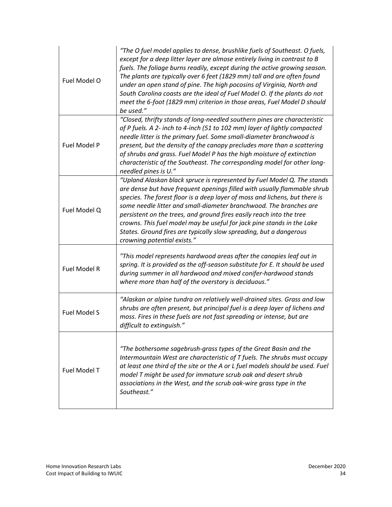| Fuel Model O        | "The O fuel model applies to dense, brushlike fuels of Southeast. O fuels,<br>except for a deep litter layer are almose entirely living in contrast to B<br>fuels. The foliage burns readily, except during the active growing season.<br>The plants are typically over 6 feet (1829 mm) tall and are often found<br>under an open stand of pine. The high pocosins of Virginia, North and<br>South Carolina coasts are the ideal of Fuel Model O. If the plants do not<br>meet the 6-foot (1829 mm) criterion in those areas, Fuel Model D should<br>be used." |
|---------------------|-----------------------------------------------------------------------------------------------------------------------------------------------------------------------------------------------------------------------------------------------------------------------------------------------------------------------------------------------------------------------------------------------------------------------------------------------------------------------------------------------------------------------------------------------------------------|
| <b>Fuel Model P</b> | "Closed, thrifty stands of long-needled southern pines are characteristic<br>of P fuels. A 2- inch to 4-inch (51 to 102 mm) layer of lightly compacted<br>needle litter is the primary fuel. Some small-diameter branchwood is<br>present, but the density of the canopy precludes more than a scattering<br>of shrubs and grass. Fuel Model P has the high moisture of extinction<br>characteristic of the Southeast. The corresponding model for other long-<br>needled pines is U."                                                                          |
| Fuel Model Q        | "Upland Alaskan black spruce is represented by Fuel Model Q. The stands<br>are dense but have frequent openings filled with usually flammable shrub<br>species. The forest floor is a deep layer of moss and lichens, but there is<br>some needle litter and small-diameter branchwood. The branches are<br>persistent on the trees, and ground fires easily reach into the tree<br>crowns. This fuel model may be useful for jack pine stands in the Lake<br>States. Ground fires are typically slow spreading, but a dangerous<br>crowning potential exists." |
| <b>Fuel Model R</b> | "This model represents hardwood areas after the canopies leaf out in<br>spring. It is provided as the off-season substitute for E. It should be used<br>during summer in all hardwood and mixed conifer-hardwood stands<br>where more than half of the overstory is deciduous."                                                                                                                                                                                                                                                                                 |
| <b>Fuel Model S</b> | "Alaskan or alpine tundra on relatively well-drained sites. Grass and low<br>shrubs are often present, but principal fuel is a deep layer of lichens and<br>moss. Fires in these fuels are not fast spreading or intense, but are<br>difficult to extinguish."                                                                                                                                                                                                                                                                                                  |
| Fuel Model T        | "The bothersome sagebrush-grass types of the Great Basin and the<br>Intermountain West are characteristic of T fuels. The shrubs must occupy<br>at least one third of the site or the A or L fuel models should be used. Fuel<br>model T might be used for immature scrub oak and desert shrub<br>associations in the West, and the scrub oak-wire grass type in the<br>Southeast."                                                                                                                                                                             |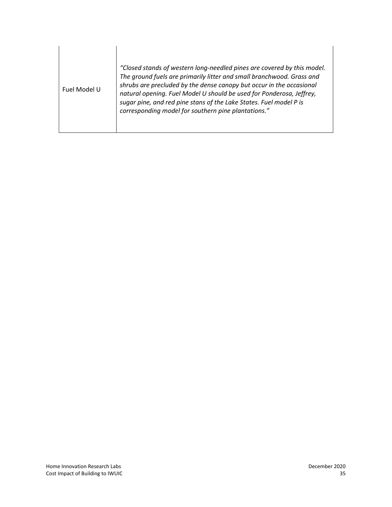| Fuel Model U | "Closed stands of western long-needled pines are covered by this model.<br>The ground fuels are primarily litter and small branchwood. Grass and<br>shrubs are precluded by the dense canopy but occur in the occasional<br>natural opening. Fuel Model U should be used for Ponderosa, Jeffrey,<br>sugar pine, and red pine stans of the Lake States. Fuel model P is<br>corresponding model for southern pine plantations." |
|--------------|-------------------------------------------------------------------------------------------------------------------------------------------------------------------------------------------------------------------------------------------------------------------------------------------------------------------------------------------------------------------------------------------------------------------------------|
|--------------|-------------------------------------------------------------------------------------------------------------------------------------------------------------------------------------------------------------------------------------------------------------------------------------------------------------------------------------------------------------------------------------------------------------------------------|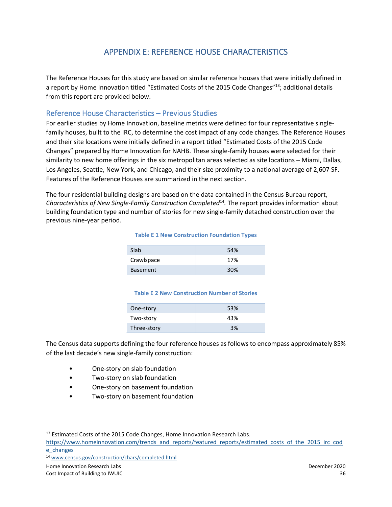# APPENDIX E: REFERENCE HOUSE CHARACTERISTICS

<span id="page-37-0"></span>The Reference Houses for this study are based on similar reference houses that were initially defined in a report by Home Innovation titled "Estimated Costs of the 2015 Code Changes"13; additional details from this report are provided below.

### <span id="page-37-1"></span>Reference House Characteristics – Previous Studies

For earlier studies by Home Innovation, baseline metrics were defined for four representative singlefamily houses, built to the IRC, to determine the cost impact of any code changes. The Reference Houses and their site locations were initially defined in a report titled "Estimated Costs of the 2015 Code Changes" prepared by Home Innovation for NAHB. These single-family houses were selected for their similarity to new home offerings in the six metropolitan areas selected as site locations – Miami, Dallas, Los Angeles, Seattle, New York, and Chicago, and their size proximity to a national average of 2,607 SF. Features of the Reference Houses are summarized in the next section.

<span id="page-37-2"></span>The four residential building designs are based on the data contained in the Census Bureau report, *Characteristics of New Single-Family Construction Completed*<sup>14</sup> *.* The report provides information about building foundation type and number of stories for new single-family detached construction over the previous nine-year period.

#### **Table E 1 New Construction Foundation Types**

| Slab            | 54% |
|-----------------|-----|
| Crawlspace      | 17% |
| <b>Basement</b> | 30% |

#### **Table E 2 New Construction Number of Stories**

| One-story   | 53% |
|-------------|-----|
| Two-story   | 43% |
| Three-story | -3% |

<span id="page-37-3"></span>The Census data supports defining the four reference houses as follows to encompass approximately 85% of the last decade's new single-family construction:

- One-story on slab foundation
- Two-story on slab foundation
- One-story on basement foundation
- Two-story on basement foundation

<sup>&</sup>lt;sup>13</sup> Estimated Costs of the 2015 Code Changes, Home Innovation Research Labs.

[https://www.homeinnovation.com/trends\\_and\\_reports/featured\\_reports/estimated\\_costs\\_of\\_the\\_2015\\_irc\\_cod](https://www.homeinnovation.com/trends_and_reports/featured_reports/estimated_costs_of_the_2015_irc_code_changes) [e\\_changes](https://www.homeinnovation.com/trends_and_reports/featured_reports/estimated_costs_of_the_2015_irc_code_changes)

<sup>14</sup> [www.census.gov/construction/chars/completed.html](http://www.census.gov/construction/chars/completed.html)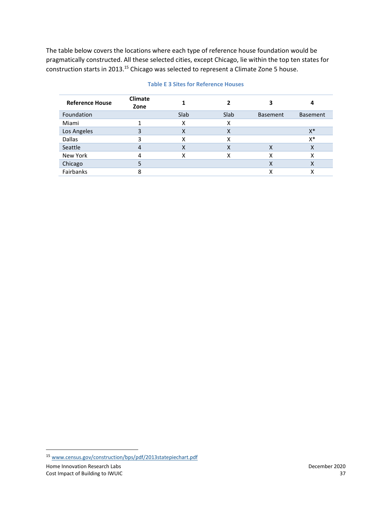The table below covers the locations where each type of reference house foundation would be pragmatically constructed. All these selected cities, except Chicago, lie within the top ten states for construction starts in 2013.<sup>15</sup> Chicago was selected to represent a Climate Zone 5 house.

<span id="page-38-0"></span>

| <b>Reference House</b> | <b>Climate</b><br>Zone |      |      |                 |                 |
|------------------------|------------------------|------|------|-----------------|-----------------|
| Foundation             |                        | Slab | Slab | <b>Basement</b> | <b>Basement</b> |
| Miami                  |                        | х    | х    |                 |                 |
| Los Angeles            |                        | Χ    | X    |                 | $X^*$           |
| <b>Dallas</b>          | 3                      | χ    | χ    |                 | X*              |
| Seattle                |                        | Χ    | X    | X               | X               |
| New York               |                        | Χ    | х    | x               | х               |
| Chicago                |                        |      |      | Χ               | X               |
| Fairbanks              | 8                      |      |      | х               |                 |

#### **Table E 3 Sites for Reference Houses**

<sup>15</sup> [www.census.gov/construction/bps/pdf/2013statepiechart.pdf](http://www.census.gov/construction/bps/pdf/2013statepiechart.pdf)